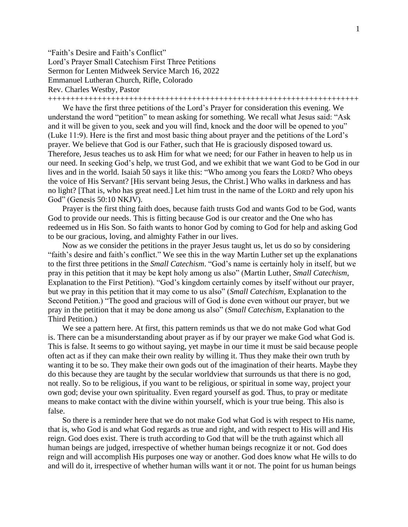"Faith's Desire and Faith's Conflict" Lord's Prayer Small Catechism First Three Petitions Sermon for Lenten Midweek Service March 16, 2022 Emmanuel Lutheran Church, Rifle, Colorado Rev. Charles Westby, Pastor

+++++++++++++++++++++++++++++++++++++++++++++++++++++++++++++++++++++

We have the first three petitions of the Lord's Prayer for consideration this evening. We understand the word "petition" to mean asking for something. We recall what Jesus said: "Ask and it will be given to you, seek and you will find, knock and the door will be opened to you" (Luke 11:9). Here is the first and most basic thing about prayer and the petitions of the Lord's prayer. We believe that God is our Father, such that He is graciously disposed toward us. Therefore, Jesus teaches us to ask Him for what we need; for our Father in heaven to help us in our need. In seeking God's help, we trust God, and we exhibit that we want God to be God in our lives and in the world. Isaiah 50 says it like this: "Who among you fears the LORD? Who obeys the voice of His Servant? [His servant being Jesus, the Christ.] Who walks in darkness and has no light? [That is, who has great need.] Let him trust in the name of the LORD and rely upon his God" (Genesis 50:10 NKJV).

Prayer is the first thing faith does, because faith trusts God and wants God to be God, wants God to provide our needs. This is fitting because God is our creator and the One who has redeemed us in His Son. So faith wants to honor God by coming to God for help and asking God to be our gracious, loving, and almighty Father in our lives.

Now as we consider the petitions in the prayer Jesus taught us, let us do so by considering "faith's desire and faith's conflict." We see this in the way Martin Luther set up the explanations to the first three petitions in the *Small Catechism*. "God's name is certainly holy in itself, but we pray in this petition that it may be kept holy among us also" (Martin Luther, *Small Catechism*, Explanation to the First Petition). "God's kingdom certainly comes by itself without our prayer, but we pray in this petition that it may come to us also" (*Small Catechism*, Explanation to the Second Petition.) "The good and gracious will of God is done even without our prayer, but we pray in the petition that it may be done among us also" (*Small Catechism*, Explanation to the Third Petition.)

We see a pattern here. At first, this pattern reminds us that we do not make God what God is. There can be a misunderstanding about prayer as if by our prayer we make God what God is. This is false. It seems to go without saying, yet maybe in our time it must be said because people often act as if they can make their own reality by willing it. Thus they make their own truth by wanting it to be so. They make their own gods out of the imagination of their hearts. Maybe they do this because they are taught by the secular worldview that surrounds us that there is no god, not really. So to be religious, if you want to be religious, or spiritual in some way, project your own god; devise your own spirituality. Even regard yourself as god. Thus, to pray or meditate means to make contact with the divine within yourself, which is your true being. This also is false.

So there is a reminder here that we do not make God what God is with respect to His name, that is, who God is and what God regards as true and right, and with respect to His will and His reign. God does exist. There is truth according to God that will be the truth against which all human beings are judged, irrespective of whether human beings recognize it or not. God does reign and will accomplish His purposes one way or another. God does know what He wills to do and will do it, irrespective of whether human wills want it or not. The point for us human beings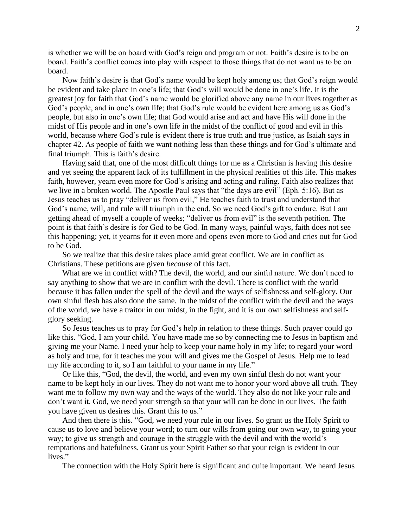is whether we will be on board with God's reign and program or not. Faith's desire is to be on board. Faith's conflict comes into play with respect to those things that do not want us to be on board.

Now faith's desire is that God's name would be kept holy among us; that God's reign would be evident and take place in one's life; that God's will would be done in one's life. It is the greatest joy for faith that God's name would be glorified above any name in our lives together as God's people, and in one's own life; that God's rule would be evident here among us as God's people, but also in one's own life; that God would arise and act and have His will done in the midst of His people and in one's own life in the midst of the conflict of good and evil in this world, because where God's rule is evident there is true truth and true justice, as Isaiah says in chapter 42. As people of faith we want nothing less than these things and for God's ultimate and final triumph. This is faith's desire.

Having said that, one of the most difficult things for me as a Christian is having this desire and yet seeing the apparent lack of its fulfillment in the physical realities of this life. This makes faith, however, yearn even more for God's arising and acting and ruling. Faith also realizes that we live in a broken world. The Apostle Paul says that "the days are evil" (Eph. 5:16). But as Jesus teaches us to pray "deliver us from evil," He teaches faith to trust and understand that God's name, will, and rule will triumph in the end. So we need God's gift to endure. But I am getting ahead of myself a couple of weeks; "deliver us from evil" is the seventh petition. The point is that faith's desire is for God to be God. In many ways, painful ways, faith does not see this happening; yet, it yearns for it even more and opens even more to God and cries out for God to be God.

So we realize that this desire takes place amid great conflict. We are in conflict as Christians. These petitions are given *because* of this fact.

What are we in conflict with? The devil, the world, and our sinful nature. We don't need to say anything to show that we are in conflict with the devil. There is conflict with the world because it has fallen under the spell of the devil and the ways of selfishness and self-glory. Our own sinful flesh has also done the same. In the midst of the conflict with the devil and the ways of the world, we have a traitor in our midst, in the fight, and it is our own selfishness and selfglory seeking.

So Jesus teaches us to pray for God's help in relation to these things. Such prayer could go like this. "God, I am your child. You have made me so by connecting me to Jesus in baptism and giving me your Name. I need your help to keep your name holy in my life; to regard your word as holy and true, for it teaches me your will and gives me the Gospel of Jesus. Help me to lead my life according to it, so I am faithful to your name in my life."

Or like this, "God, the devil, the world, and even my own sinful flesh do not want your name to be kept holy in our lives. They do not want me to honor your word above all truth. They want me to follow my own way and the ways of the world. They also do not like your rule and don't want it. God, we need your strength so that your will can be done in our lives. The faith you have given us desires this. Grant this to us."

And then there is this. "God, we need your rule in our lives. So grant us the Holy Spirit to cause us to love and believe your word; to turn our wills from going our own way, to going your way; to give us strength and courage in the struggle with the devil and with the world's temptations and hatefulness. Grant us your Spirit Father so that your reign is evident in our lives."

The connection with the Holy Spirit here is significant and quite important. We heard Jesus